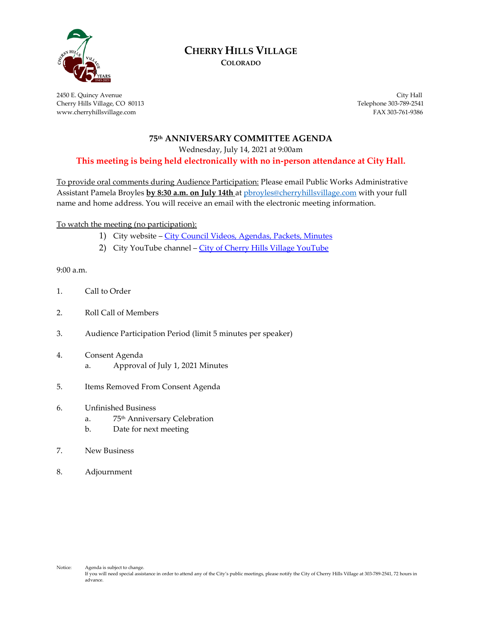

# **CHERRY HILLS VILLAGE**

**COLORADO**

2450 E. Quincy Avenue City Hall Cherry Hills Village, CO 80113 Telephone 303-789-2541 www.cherryhillsvillage.com FAX 303-761-9386

#### **75th ANNIVERSARY COMMITTEE AGENDA**

Wednesday, July 14, 2021 at 9:00am

**This meeting is being held electronically with no in-person attendance at City Hall.**

To provide oral comments during Audience Participation: Please email Public Works Administrative Assistant Pamela Broyles **by 8:30 a.m. on July 14th** a[t pbroyles@cherryhillsvillage.com](mailto:pbroyles@cherryhillsvillage.com) with your full name and home address. You will receive an email with the electronic meeting information.

To watch the meeting (no participation):

- 1) City website [City Council Videos, Agendas, Packets, Minutes](http://www.cherryhillsvillage.com/501/Council-Videos-Agendas-Packets-Minutes)
- 2) City YouTube channel [City of Cherry Hills Village YouTube](https://www.youtube.com/channel/UCHY4MgJ1gekrqDW949gW7Gw)

9:00 a.m.

- 1. Call to Order
- 2. Roll Call of Members
- 3. Audience Participation Period (limit 5 minutes per speaker)
- 4. Consent Agenda a. Approval of July 1, 2021 Minutes
- 5. Items Removed From Consent Agenda
- 6. Unfinished Business
	- a. 75th Anniversary Celebration
	- b. Date for next meeting
- 7. New Business
- 8. Adjournment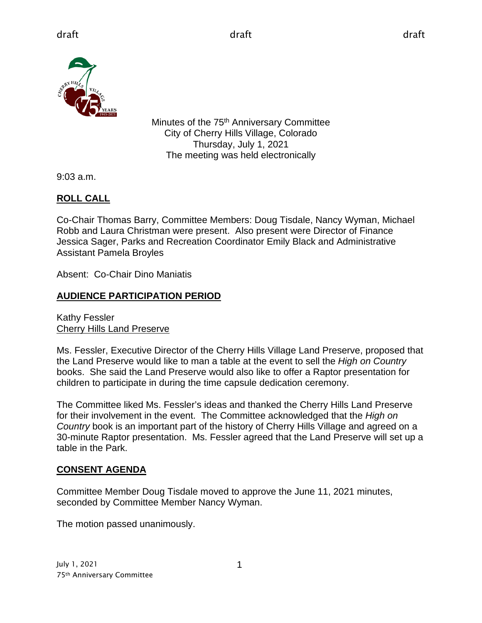

Minutes of the 75<sup>th</sup> Anniversary Committee City of Cherry Hills Village, Colorado Thursday, July 1, 2021 The meeting was held electronically

9:03 a.m.

# **ROLL CALL**

Co-Chair Thomas Barry, Committee Members: Doug Tisdale, Nancy Wyman, Michael Robb and Laura Christman were present. Also present were Director of Finance Jessica Sager, Parks and Recreation Coordinator Emily Black and Administrative Assistant Pamela Broyles

Absent: Co-Chair Dino Maniatis

## **AUDIENCE PARTICIPATION PERIOD**

Kathy Fessler Cherry Hills Land Preserve

Ms. Fessler, Executive Director of the Cherry Hills Village Land Preserve, proposed that the Land Preserve would like to man a table at the event to sell the *High on Country*  books. She said the Land Preserve would also like to offer a Raptor presentation for children to participate in during the time capsule dedication ceremony.

The Committee liked Ms. Fessler's ideas and thanked the Cherry Hills Land Preserve for their involvement in the event. The Committee acknowledged that the *High on Country* book is an important part of the history of Cherry Hills Village and agreed on a 30-minute Raptor presentation. Ms. Fessler agreed that the Land Preserve will set up a table in the Park.

## **CONSENT AGENDA**

Committee Member Doug Tisdale moved to approve the June 11, 2021 minutes, seconded by Committee Member Nancy Wyman.

The motion passed unanimously.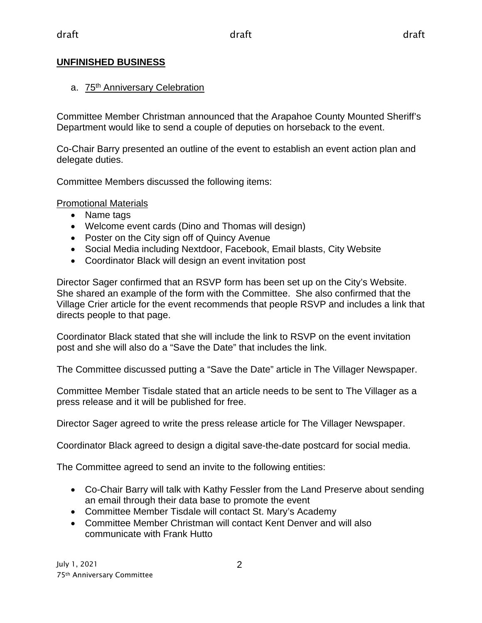## **UNFINISHED BUSINESS**

### a. 75<sup>th</sup> Anniversary Celebration

Committee Member Christman announced that the Arapahoe County Mounted Sheriff's Department would like to send a couple of deputies on horseback to the event.

Co-Chair Barry presented an outline of the event to establish an event action plan and delegate duties.

Committee Members discussed the following items:

### Promotional Materials

- Name tags
- Welcome event cards (Dino and Thomas will design)
- Poster on the City sign off of Quincy Avenue
- Social Media including Nextdoor, Facebook, Email blasts, City Website
- Coordinator Black will design an event invitation post

Director Sager confirmed that an RSVP form has been set up on the City's Website. She shared an example of the form with the Committee. She also confirmed that the Village Crier article for the event recommends that people RSVP and includes a link that directs people to that page.

Coordinator Black stated that she will include the link to RSVP on the event invitation post and she will also do a "Save the Date" that includes the link.

The Committee discussed putting a "Save the Date" article in The Villager Newspaper.

Committee Member Tisdale stated that an article needs to be sent to The Villager as a press release and it will be published for free.

Director Sager agreed to write the press release article for The Villager Newspaper.

Coordinator Black agreed to design a digital save-the-date postcard for social media.

The Committee agreed to send an invite to the following entities:

- Co-Chair Barry will talk with Kathy Fessler from the Land Preserve about sending an email through their data base to promote the event
- Committee Member Tisdale will contact St. Mary's Academy
- Committee Member Christman will contact Kent Denver and will also communicate with Frank Hutto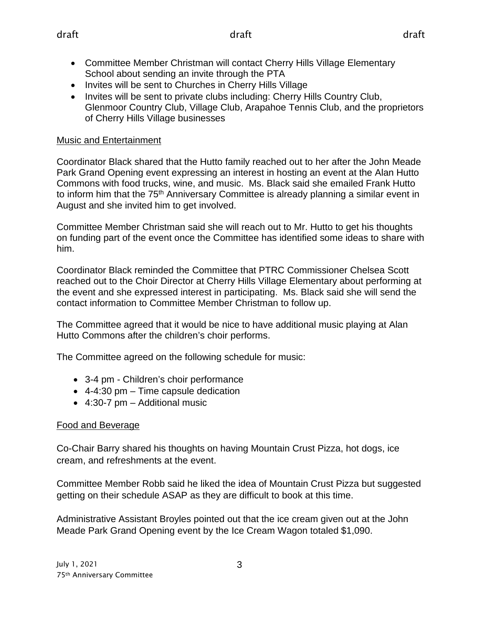- Committee Member Christman will contact Cherry Hills Village Elementary School about sending an invite through the PTA
- Invites will be sent to Churches in Cherry Hills Village
- Invites will be sent to private clubs including: Cherry Hills Country Club, Glenmoor Country Club, Village Club, Arapahoe Tennis Club, and the proprietors of Cherry Hills Village businesses

## Music and Entertainment

Coordinator Black shared that the Hutto family reached out to her after the John Meade Park Grand Opening event expressing an interest in hosting an event at the Alan Hutto Commons with food trucks, wine, and music. Ms. Black said she emailed Frank Hutto to inform him that the 75<sup>th</sup> Anniversary Committee is already planning a similar event in August and she invited him to get involved.

Committee Member Christman said she will reach out to Mr. Hutto to get his thoughts on funding part of the event once the Committee has identified some ideas to share with him.

Coordinator Black reminded the Committee that PTRC Commissioner Chelsea Scott reached out to the Choir Director at Cherry Hills Village Elementary about performing at the event and she expressed interest in participating. Ms. Black said she will send the contact information to Committee Member Christman to follow up.

The Committee agreed that it would be nice to have additional music playing at Alan Hutto Commons after the children's choir performs.

The Committee agreed on the following schedule for music:

- 3-4 pm Children's choir performance
- 4-4:30 pm Time capsule dedication
- 4:30-7 pm Additional music

## Food and Beverage

Co-Chair Barry shared his thoughts on having Mountain Crust Pizza, hot dogs, ice cream, and refreshments at the event.

Committee Member Robb said he liked the idea of Mountain Crust Pizza but suggested getting on their schedule ASAP as they are difficult to book at this time.

Administrative Assistant Broyles pointed out that the ice cream given out at the John Meade Park Grand Opening event by the Ice Cream Wagon totaled \$1,090.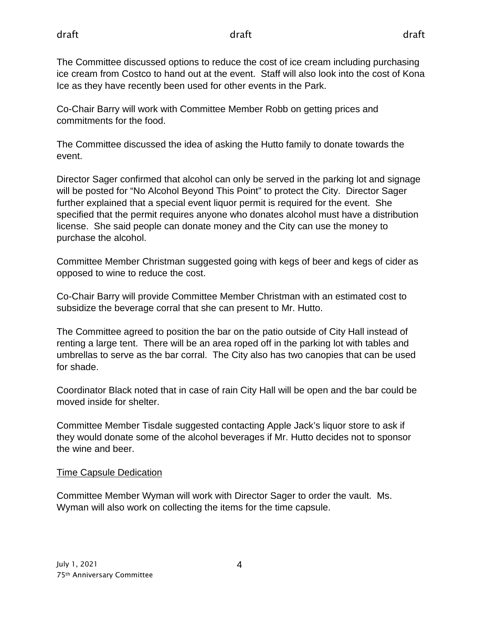The Committee discussed options to reduce the cost of ice cream including purchasing ice cream from Costco to hand out at the event. Staff will also look into the cost of Kona Ice as they have recently been used for other events in the Park.

Co-Chair Barry will work with Committee Member Robb on getting prices and commitments for the food.

The Committee discussed the idea of asking the Hutto family to donate towards the event.

Director Sager confirmed that alcohol can only be served in the parking lot and signage will be posted for "No Alcohol Beyond This Point" to protect the City. Director Sager further explained that a special event liquor permit is required for the event. She specified that the permit requires anyone who donates alcohol must have a distribution license. She said people can donate money and the City can use the money to purchase the alcohol.

Committee Member Christman suggested going with kegs of beer and kegs of cider as opposed to wine to reduce the cost.

Co-Chair Barry will provide Committee Member Christman with an estimated cost to subsidize the beverage corral that she can present to Mr. Hutto.

The Committee agreed to position the bar on the patio outside of City Hall instead of renting a large tent. There will be an area roped off in the parking lot with tables and umbrellas to serve as the bar corral. The City also has two canopies that can be used for shade.

Coordinator Black noted that in case of rain City Hall will be open and the bar could be moved inside for shelter.

Committee Member Tisdale suggested contacting Apple Jack's liquor store to ask if they would donate some of the alcohol beverages if Mr. Hutto decides not to sponsor the wine and beer.

### Time Capsule Dedication

Committee Member Wyman will work with Director Sager to order the vault. Ms. Wyman will also work on collecting the items for the time capsule.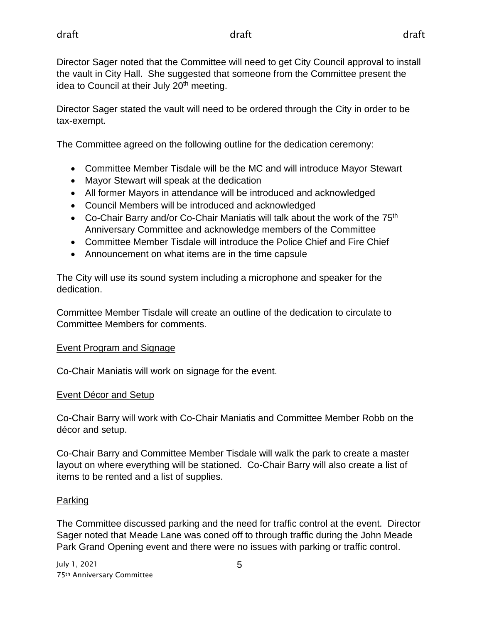Director Sager noted that the Committee will need to get City Council approval to install the vault in City Hall. She suggested that someone from the Committee present the idea to Council at their July 20<sup>th</sup> meeting.

Director Sager stated the vault will need to be ordered through the City in order to be tax-exempt.

The Committee agreed on the following outline for the dedication ceremony:

- Committee Member Tisdale will be the MC and will introduce Mayor Stewart
- Mayor Stewart will speak at the dedication
- All former Mayors in attendance will be introduced and acknowledged
- Council Members will be introduced and acknowledged
- Co-Chair Barry and/or Co-Chair Maniatis will talk about the work of the  $75<sup>th</sup>$ Anniversary Committee and acknowledge members of the Committee
- Committee Member Tisdale will introduce the Police Chief and Fire Chief
- Announcement on what items are in the time capsule

The City will use its sound system including a microphone and speaker for the dedication.

Committee Member Tisdale will create an outline of the dedication to circulate to Committee Members for comments.

### Event Program and Signage

Co-Chair Maniatis will work on signage for the event.

## Event Décor and Setup

Co-Chair Barry will work with Co-Chair Maniatis and Committee Member Robb on the décor and setup.

Co-Chair Barry and Committee Member Tisdale will walk the park to create a master layout on where everything will be stationed. Co-Chair Barry will also create a list of items to be rented and a list of supplies.

## Parking

The Committee discussed parking and the need for traffic control at the event. Director Sager noted that Meade Lane was coned off to through traffic during the John Meade Park Grand Opening event and there were no issues with parking or traffic control.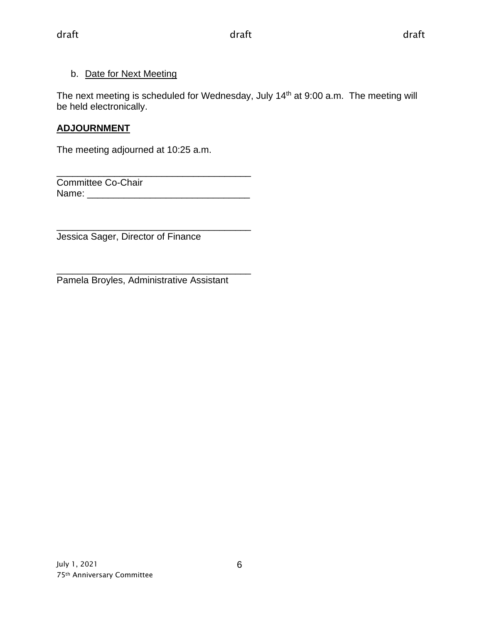## b. Date for Next Meeting

The next meeting is scheduled for Wednesday, July 14<sup>th</sup> at 9:00 a.m. The meeting will be held electronically.

## **ADJOURNMENT**

The meeting adjourned at 10:25 a.m.

\_\_\_\_\_\_\_\_\_\_\_\_\_\_\_\_\_\_\_\_\_\_\_\_\_\_\_\_\_\_\_\_\_\_\_\_\_ Committee Co-Chair Name: \_\_\_\_\_\_\_\_\_\_\_\_\_\_\_\_\_\_\_\_\_\_\_\_\_\_\_\_\_\_\_

\_\_\_\_\_\_\_\_\_\_\_\_\_\_\_\_\_\_\_\_\_\_\_\_\_\_\_\_\_\_\_\_\_\_\_\_\_ Jessica Sager, Director of Finance

\_\_\_\_\_\_\_\_\_\_\_\_\_\_\_\_\_\_\_\_\_\_\_\_\_\_\_\_\_\_\_\_\_\_\_\_\_ Pamela Broyles, Administrative Assistant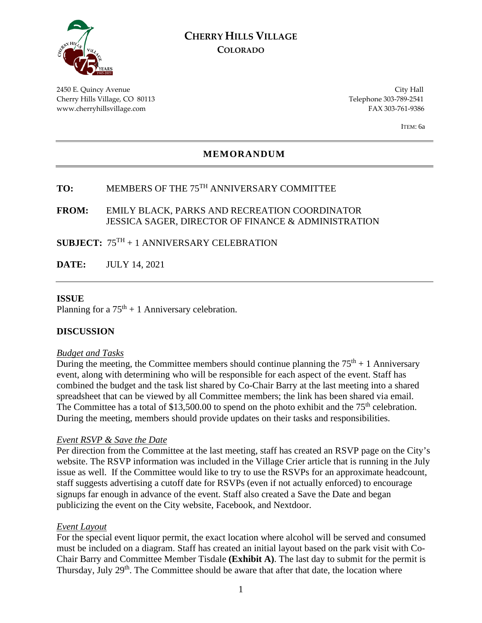

### **CHERRY HILLS VILLAGE COLORADO**

2450 E. Quincy Avenue City Hall Cherry Hills Village, CO 80113 Telephone 303-789-2541 www.cherryhillsvillage.com FAX 303-761-9386

ITEM: 6a

#### **MEMORANDUM**

# **TO:** MEMBERS OF THE 75TH ANNIVERSARY COMMITTEE

#### **FROM:** EMILY BLACK, PARKS AND RECREATION COORDINATOR JESSICA SAGER, DIRECTOR OF FINANCE & ADMINISTRATION

### **SUBJECT:** 75TH + 1 ANNIVERSARY CELEBRATION

**DATE:** JULY 14, 2021

#### **ISSUE**

Planning for a  $75<sup>th</sup> + 1$  Anniversary celebration.

#### **DISCUSSION**

#### *Budget and Tasks*

During the meeting, the Committee members should continue planning the  $75<sup>th</sup> + 1$  Anniversary event, along with determining who will be responsible for each aspect of the event. Staff has combined the budget and the task list shared by Co-Chair Barry at the last meeting into a shared spreadsheet that can be viewed by all Committee members; the link has been shared via email. The Committee has a total of \$13,500.00 to spend on the photo exhibit and the  $75<sup>th</sup>$  celebration. During the meeting, members should provide updates on their tasks and responsibilities.

#### *Event RSVP & Save the Date*

Per direction from the Committee at the last meeting, staff has created an RSVP page on the City's website. The RSVP information was included in the Village Crier article that is running in the July issue as well. If the Committee would like to try to use the RSVPs for an approximate headcount, staff suggests advertising a cutoff date for RSVPs (even if not actually enforced) to encourage signups far enough in advance of the event. Staff also created a Save the Date and began publicizing the event on the City website, Facebook, and Nextdoor.

#### *Event Layout*

For the special event liquor permit, the exact location where alcohol will be served and consumed must be included on a diagram. Staff has created an initial layout based on the park visit with Co-Chair Barry and Committee Member Tisdale **(Exhibit A)**. The last day to submit for the permit is Thursday, July 29<sup>th</sup>. The Committee should be aware that after that date, the location where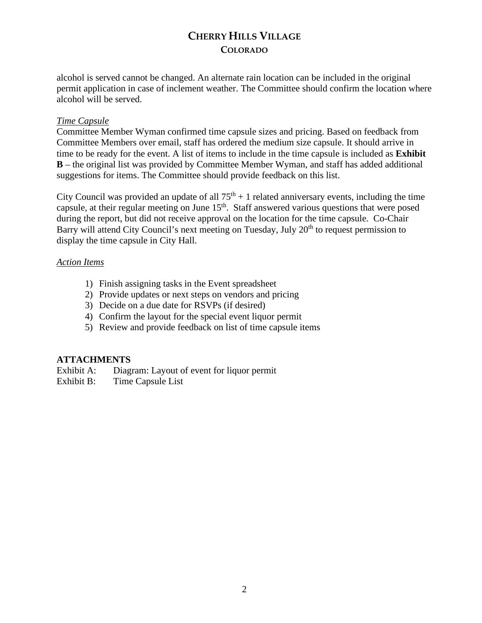# **CHERRY HILLS VILLAGE COLORADO**

alcohol is served cannot be changed. An alternate rain location can be included in the original permit application in case of inclement weather. The Committee should confirm the location where alcohol will be served.

#### *Time Capsule*

Committee Member Wyman confirmed time capsule sizes and pricing. Based on feedback from Committee Members over email, staff has ordered the medium size capsule. It should arrive in time to be ready for the event. A list of items to include in the time capsule is included as **Exhibit B** – the original list was provided by Committee Member Wyman, and staff has added additional suggestions for items. The Committee should provide feedback on this list.

City Council was provided an update of all  $75<sup>th</sup> + 1$  related anniversary events, including the time capsule, at their regular meeting on June  $15<sup>th</sup>$ . Staff answered various questions that were posed during the report, but did not receive approval on the location for the time capsule. Co-Chair Barry will attend City Council's next meeting on Tuesday, July 20<sup>th</sup> to request permission to display the time capsule in City Hall.

#### *Action Items*

- 1) Finish assigning tasks in the Event spreadsheet
- 2) Provide updates or next steps on vendors and pricing
- 3) Decide on a due date for RSVPs (if desired)
- 4) Confirm the layout for the special event liquor permit
- 5) Review and provide feedback on list of time capsule items

### **ATTACHMENTS**

Exhibit A: Diagram: Layout of event for liquor permit

Exhibit B: Time Capsule List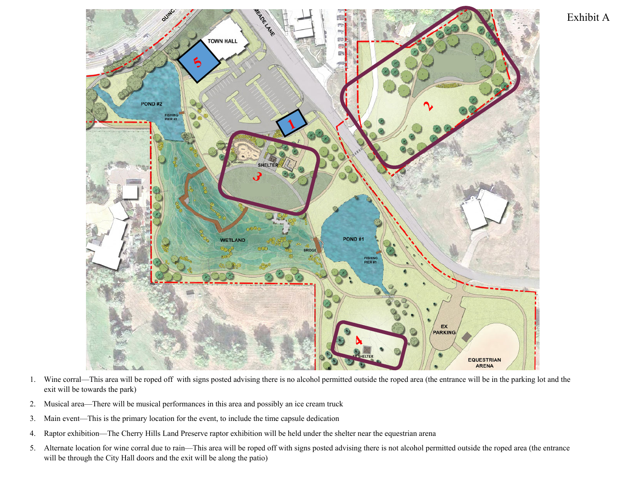

- 1. Wine corral—This area will be roped off with signs posted advising there is no alcohol permitted outside the roped area (the entrance will be in the parking lot and the exit will be towards the park)
- 2. Musical area—There will be musical performances in this area and possibly an ice cream truck
- 3. Main event—This is the primary location for the event, to include the time capsule dedication
- 4. Raptor exhibition—The Cherry Hills Land Preserve raptor exhibition will be held under the shelter near the equestrian arena
- 5. Alternate location for wine corral due to rain—This area will be roped off with signs posted advising there is not alcohol permitted outside the roped area (the entrance will be through the City Hall doors and the exit will be along the patio)

Exhibit A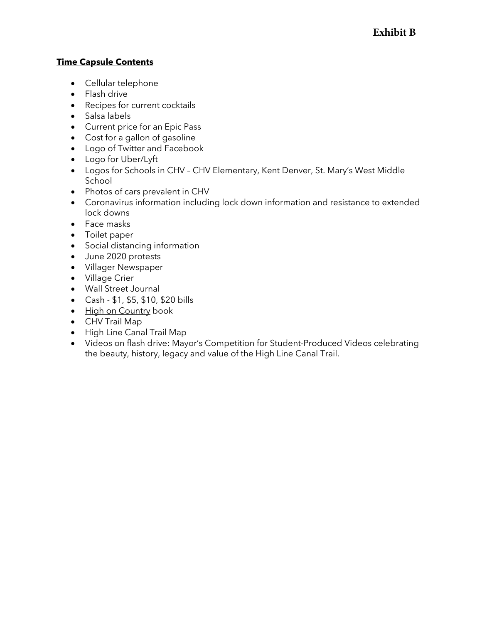### **Time Capsule Contents**

- Cellular telephone
- Flash drive
- Recipes for current cocktails
- Salsa labels
- Current price for an Epic Pass
- Cost for a gallon of gasoline
- Logo of Twitter and Facebook
- Logo for Uber/Lyft
- Logos for Schools in CHV CHV Elementary, Kent Denver, St. Mary's West Middle School
- Photos of cars prevalent in CHV
- Coronavirus information including lock down information and resistance to extended lock downs
- Face masks
- Toilet paper
- Social distancing information
- June 2020 protests
- Villager Newspaper
- Village Crier
- Wall Street Journal
- Cash \$1, \$5, \$10, \$20 bills
- High on Country book
- CHV Trail Map
- High Line Canal Trail Map
- Videos on flash drive: Mayor's Competition for Student-Produced Videos celebrating the beauty, history, legacy and value of the High Line Canal Trail.